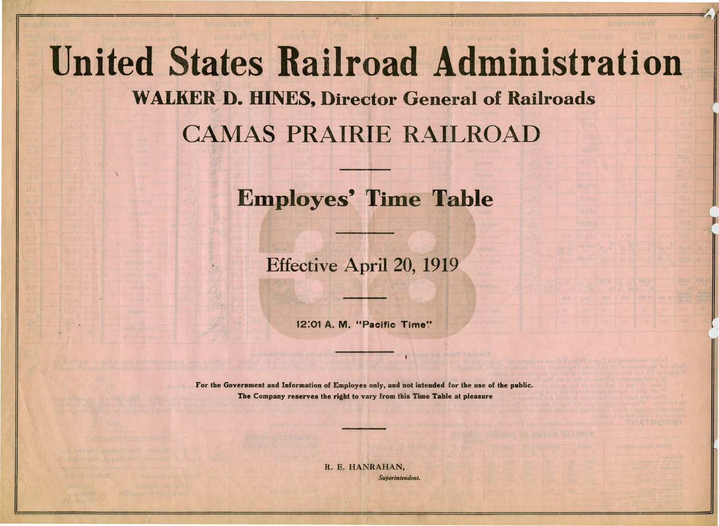## **United States Railroad Administration**  WALKER D. HINES, Director General of Railroads CAMAS PRAIRIE RAILROAD

## Employes' Time Table

## Effective April 20, 1919

12:01 A. M. "Pacific Time"

For the Government and Information of Employes only, and not intended for the use of the public. The Company reserves the right to vary from this Time Table at pleasure

> R. E. HANRAHAN, *Superintendent.*



**Literature of the American Science**